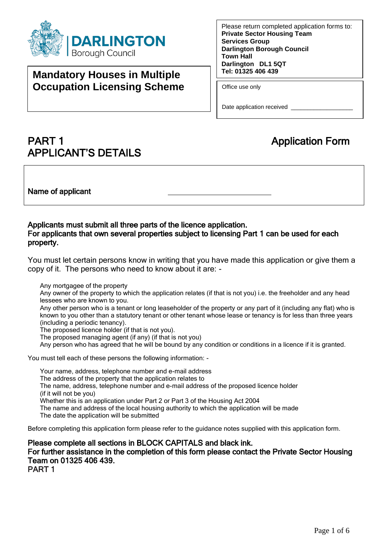

# **Mandatory Houses in Multiple Occupation Licensing Scheme**

Please return completed application forms to: **Private Sector Housing Team Services Group Darlington Borough Council Town Hall Darlington DL1 5QT Tel: 01325 406 439** 

Office use only

Date application received \_\_\_\_\_\_\_\_\_\_\_\_\_\_\_\_\_\_\_\_\_\_\_

# **PART 1** Application Form APPLICANT'S DETAILS

Name of applicant

## Applicants must submit all three parts of the licence application. For applicants that own several properties subject to licensing Part 1 can be used for each property.

 You must let certain persons know in writing that you have made this application or give them a copy of it. The persons who need to know about it are: -

Any mortgagee of the property

Any owner of the property to which the application relates (if that is not you) i.e. the freeholder and any head lessees who are known to you.

Any other person who is a tenant or long leaseholder of the property or any part of it (including any flat) who is known to you other than a statutory tenant or other tenant whose lease or tenancy is for less than three years (including a periodic tenancy).

The proposed licence holder (if that is not you).

The proposed managing agent (if any) (if that is not you)

Any person who has agreed that he will be bound by any condition or conditions in a licence if it is granted.

You must tell each of these persons the following information: -

Your name, address, telephone number and e-mail address The address of the property that the application relates to The name, address, telephone number and e-mail address of the proposed licence holder (if it will not be you) Whether this is an application under Part 2 or Part 3 of the Housing Act 2004 The name and address of the local housing authority to which the application will be made The date the application will be submitted

Before completing this application form please refer to the guidance notes supplied with this application form.

 Please complete all sections in BLOCK CAPITALS and black ink. For further assistance in the completion of this form please contact the Private Sector Housing Team on 01325 406 439. PART 1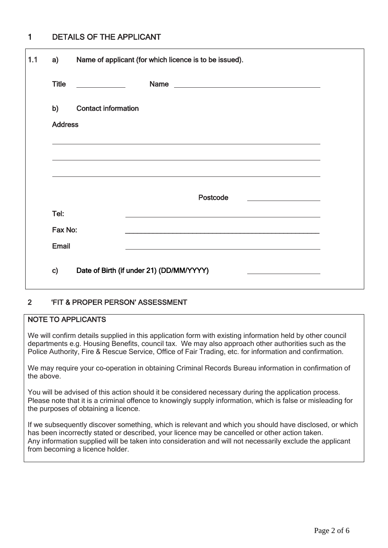#### DETAILS OF THE APPLICANT 1

| a)             | Name of applicant (for which licence is to be issued).                             |  |
|----------------|------------------------------------------------------------------------------------|--|
| <b>Title</b>   | $\overline{\phantom{a}}$ and $\overline{\phantom{a}}$ and $\overline{\phantom{a}}$ |  |
| b)             | <b>Contact information</b>                                                         |  |
| <b>Address</b> |                                                                                    |  |
|                |                                                                                    |  |
|                |                                                                                    |  |
|                | Postcode<br><u> 1990 - Johann Barbara, martxa a</u>                                |  |
| Tel:           |                                                                                    |  |
| Fax No:        |                                                                                    |  |
| <b>Email</b>   |                                                                                    |  |
| $\mathbf{c}$   | Date of Birth (if under 21) (DD/MM/YYYY)                                           |  |

#### 'FIT & PROPER PERSON' ASSESSMENT 2

# NOTE TO APPLICANTS

 We will confirm details supplied in this application form with existing information held by other council departments e.g. Housing Benefits, council tax. We may also approach other authorities such as the Police Authority, Fire & Rescue Service, Office of Fair Trading, etc. for information and confirmation.

 the above. We may require your co-operation in obtaining Criminal Records Bureau information in confirmation of

 You will be advised of this action should it be considered necessary during the application process. Please note that it is a criminal offence to knowingly supply information, which is false or misleading for the purposes of obtaining a licence.

 If we subsequently discover something, which is relevant and which you should have disclosed, or which has been incorrectly stated or described, your licence may be cancelled or other action taken. Any information supplied will be taken into consideration and will not necessarily exclude the applicant from becoming a licence holder.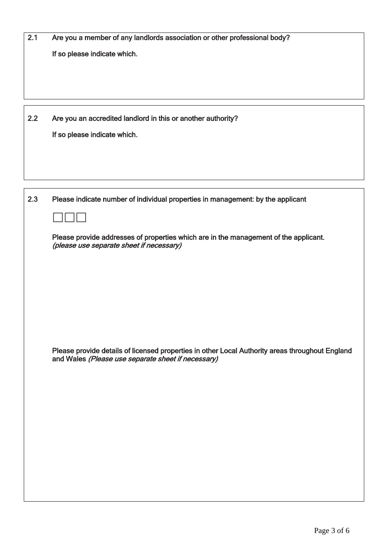| 2.1 | Are you a member of any landlords association or other professional body?                                                                             |
|-----|-------------------------------------------------------------------------------------------------------------------------------------------------------|
|     | If so please indicate which.                                                                                                                          |
|     |                                                                                                                                                       |
|     |                                                                                                                                                       |
|     |                                                                                                                                                       |
|     |                                                                                                                                                       |
| 2.2 | Are you an accredited landlord in this or another authority?                                                                                          |
|     | If so please indicate which.                                                                                                                          |
|     |                                                                                                                                                       |
|     |                                                                                                                                                       |
|     |                                                                                                                                                       |
|     |                                                                                                                                                       |
| 2.3 | Please indicate number of individual properties in management: by the applicant                                                                       |
|     |                                                                                                                                                       |
|     |                                                                                                                                                       |
|     | Please provide addresses of properties which are in the management of the applicant.<br>(please use separate sheet if necessary)                      |
|     |                                                                                                                                                       |
|     |                                                                                                                                                       |
|     |                                                                                                                                                       |
|     |                                                                                                                                                       |
|     |                                                                                                                                                       |
|     |                                                                                                                                                       |
|     |                                                                                                                                                       |
|     |                                                                                                                                                       |
|     | Please provide details of licensed properties in other Local Authority areas throughout England<br>and Wales (Please use separate sheet if necessary) |
|     |                                                                                                                                                       |
|     |                                                                                                                                                       |
|     |                                                                                                                                                       |
|     |                                                                                                                                                       |
|     |                                                                                                                                                       |
|     |                                                                                                                                                       |
|     |                                                                                                                                                       |
|     |                                                                                                                                                       |
|     |                                                                                                                                                       |
|     |                                                                                                                                                       |
|     |                                                                                                                                                       |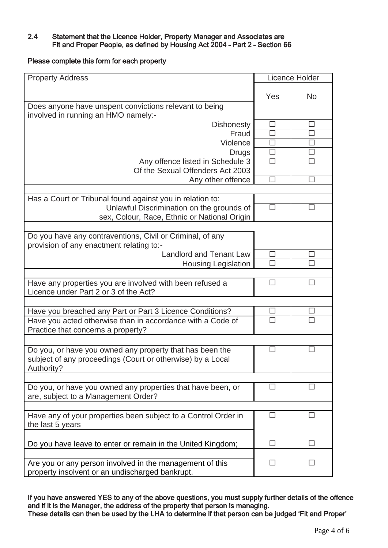## 2.4 Statement that the Licence Holder, Property Manager and Associates are Fit and Proper People, as defined by Housing Act 2004 – Part 2 – Section 66

Please complete this form for each property

| <b>Property Address</b>                                              |             | Licence Holder |
|----------------------------------------------------------------------|-------------|----------------|
|                                                                      | Yes         | <b>No</b>      |
| Does anyone have unspent convictions relevant to being               |             |                |
| involved in running an HMO namely:-                                  |             |                |
| <b>Dishonesty</b>                                                    | □           | □              |
| Fraud                                                                | □           | $\Box$         |
| Violence                                                             | □           | $\Box$         |
| <b>Drugs</b>                                                         | $\Box$      | $\Box$         |
| Any offence listed in Schedule 3<br>Of the Sexual Offenders Act 2003 | $\Box$      | $\Box$         |
| Any other offence                                                    | □           | □              |
|                                                                      |             |                |
| Has a Court or Tribunal found against you in relation to:            |             |                |
| Unlawful Discrimination on the grounds of                            | $\Box$      | □              |
| sex, Colour, Race, Ethnic or National Origin                         |             |                |
|                                                                      |             |                |
| Do you have any contraventions, Civil or Criminal, of any            |             |                |
| provision of any enactment relating to:-                             |             |                |
| <b>Landlord and Tenant Law</b>                                       | $\Box$<br>П | □<br>п         |
| <b>Housing Legislation</b>                                           |             |                |
| Have any properties you are involved with been refused a             | □           | □              |
| Licence under Part 2 or 3 of the Act?                                |             |                |
|                                                                      |             |                |
| Have you breached any Part or Part 3 Licence Conditions?             | □           | ப              |
| Have you acted otherwise than in accordance with a Code of           | П           | П              |
| Practice that concerns a property?                                   |             |                |
|                                                                      |             |                |
| Do you, or have you owned any property that has been the             | □           | □              |
| subject of any proceedings (Court or otherwise) by a Local           |             |                |
| Authority?                                                           |             |                |
| Do you, or have you owned any properties that have been, or          | П           | п              |
| are, subject to a Management Order?                                  |             |                |
|                                                                      |             |                |
| Have any of your properties been subject to a Control Order in       | $\Box$      | $\Box$         |
| the last 5 years                                                     |             |                |
|                                                                      |             |                |
| Do you have leave to enter or remain in the United Kingdom;          | □           | □              |
|                                                                      |             |                |
| Are you or any person involved in the management of this             | □           | □              |
| property insolvent or an undischarged bankrupt.                      |             |                |

 If you have answered YES to any of the above questions, you must supply further details of the offence i, and if it is the Manager, the address of the property that person is managing. These details can then be used by the LHA to determine if that person can be judged 'Fit and Proper'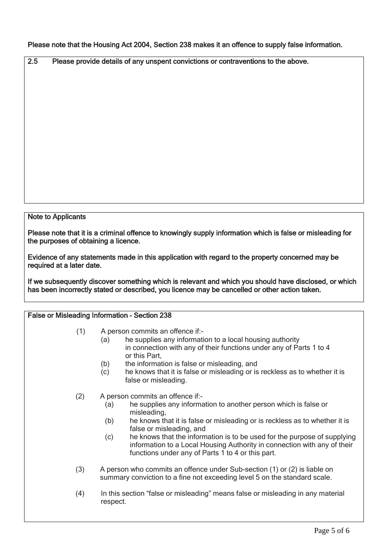Please note that the Housing Act 2004, Section 238 makes it an offence to supply false information.

2.5 Please provide details of any unspent convictions or contraventions to the above.

### Note to Applicants

 Please note that it is a criminal offence to knowingly supply information which is false or misleading for the purposes of obtaining a licence.

 Evidence of any statements made in this application with regard to the property concerned may be required at a later date.

 If we subsequently discover something which is relevant and which you should have disclosed, or which has been incorrectly stated or described, you licence may be cancelled or other action taken.

| False or Misleading Information - Section 238 |                                                                                                                                                                                                                                                                                                                                                                                                                                                                |  |  |  |
|-----------------------------------------------|----------------------------------------------------------------------------------------------------------------------------------------------------------------------------------------------------------------------------------------------------------------------------------------------------------------------------------------------------------------------------------------------------------------------------------------------------------------|--|--|--|
| (1)                                           | A person commits an offence if:-<br>he supplies any information to a local housing authority<br>(a)<br>in connection with any of their functions under any of Parts 1 to 4<br>or this Part,                                                                                                                                                                                                                                                                    |  |  |  |
|                                               | the information is false or misleading, and<br>(b)<br>(c)<br>he knows that it is false or misleading or is reckless as to whether it is<br>false or misleading.                                                                                                                                                                                                                                                                                                |  |  |  |
| (2)                                           | A person commits an offence if:-<br>he supplies any information to another person which is false or<br>(a)<br>misleading,<br>(b)<br>he knows that it is false or misleading or is reckless as to whether it is<br>false or misleading, and<br>he knows that the information is to be used for the purpose of supplying<br>(c)<br>information to a Local Housing Authority in connection with any of their<br>functions under any of Parts 1 to 4 or this part. |  |  |  |
| (3)                                           | A person who commits an offence under Sub-section (1) or (2) is liable on<br>summary conviction to a fine not exceeding level 5 on the standard scale.                                                                                                                                                                                                                                                                                                         |  |  |  |
| (4)                                           | In this section "false or misleading" means false or misleading in any material<br>respect.                                                                                                                                                                                                                                                                                                                                                                    |  |  |  |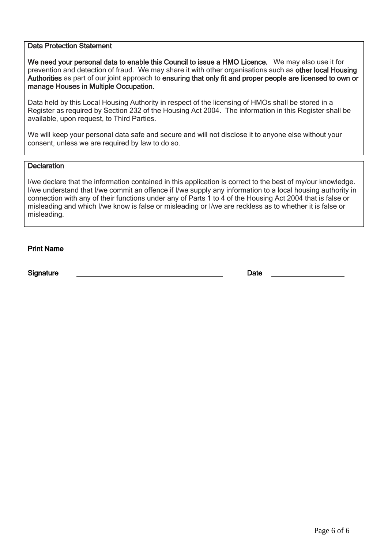### Data Protection Statement

We need your personal data to enable this Council to issue a HMO Licence. We may also use it for prevention and detection of fraud. We may share it with other organisations such as other local Housing Authorities as part of our joint approach to ensuring that only fit and proper people are licensed to own or manage Houses in Multiple Occupation.

 Register as required by Section 232 of the Housing Act 2004. The information in this Register shall be available, upon request, to Third Parties. Data held by this Local Housing Authority in respect of the licensing of HMOs shall be stored in a

 We will keep your personal data safe and secure and will not disclose it to anyone else without your consent, unless we are required by law to do so.

## **Declaration**

 I/we declare that the information contained in this application is correct to the best of my/our knowledge. I/we understand that I/we commit an offence if I/we supply any information to a local housing authority in connection with any of their functions under any of Parts 1 to 4 of the Housing Act 2004 that is false or misleading and which I/we know is false or misleading or I/we are reckless as to whether it is false or misleading.

| <b>Print Name</b> |  |  |  |
|-------------------|--|--|--|
|                   |  |  |  |

Signature Date Date Date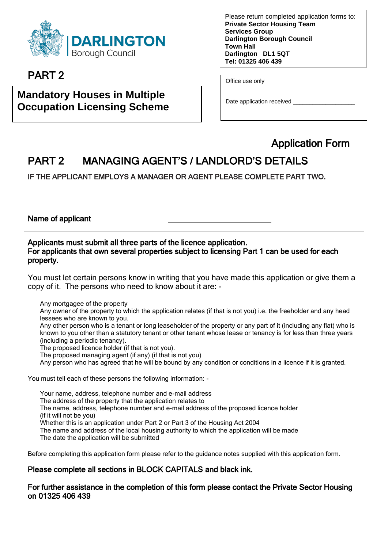

# PART 2

# **Mandatory Houses in Multiple Occupation Licensing Scheme**

 **Tel: 01325 406 439**  Please return completed application forms to: **Private Sector Housing Team Services Group Darlington Borough Council Town Hall Darlington DL1 5QT** 

Office use only

Date application received

# Application Form

# PART 2 MANAGING AGENT'S / LANDLORD'S DETAILS

IF THE APPLICANT EMPLOYS A MANAGER OR AGENT PLEASE COMPLETE PART TWO.

Name of applicant

## Applicants must submit all three parts of the licence application. For applicants that own several properties subject to licensing Part 1 can be used for each property.

 You must let certain persons know in writing that you have made this application or give them a copy of it. The persons who need to know about it are: -

Any mortgagee of the property

Any owner of the property to which the application relates (if that is not you) i.e. the freeholder and any head lessees who are known to you.

Any other person who is a tenant or long leaseholder of the property or any part of it (including any flat) who is known to you other than a statutory tenant or other tenant whose lease or tenancy is for less than three years (including a periodic tenancy).

The proposed licence holder (if that is not you).

The proposed managing agent (if any) (if that is not you)

Any person who has agreed that he will be bound by any condition or conditions in a licence if it is granted.

You must tell each of these persons the following information: -

Your name, address, telephone number and e-mail address The address of the property that the application relates to The name, address, telephone number and e-mail address of the proposed licence holder (if it will not be you) Whether this is an application under Part 2 or Part 3 of the Housing Act 2004 The name and address of the local housing authority to which the application will be made The date the application will be submitted

Before completing this application form please refer to the guidance notes supplied with this application form.

# Please complete all sections in BLOCK CAPITALS and black ink.

## For further assistance in the completion of this form please contact the Private Sector Housing on 01325 406 439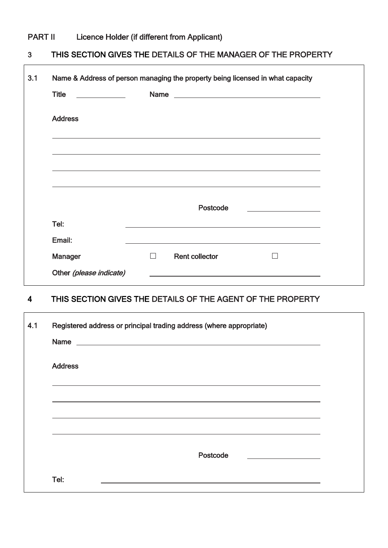# PART II Licence Holder (if different from Applicant)

#### THIS SECTION GIVES THE DETAILS OF THE MANAGER OF THE PROPERTY 3

| 3.1 | Name & Address of person managing the property being licensed in what capacity |   |                                                                                  |  |
|-----|--------------------------------------------------------------------------------|---|----------------------------------------------------------------------------------|--|
|     | <b>Title</b>                                                                   |   |                                                                                  |  |
|     | <b>Address</b>                                                                 |   |                                                                                  |  |
|     |                                                                                |   |                                                                                  |  |
|     |                                                                                |   |                                                                                  |  |
|     |                                                                                |   | ,我们也不会有什么。""我们的人,我们也不会有什么?""我们的人,我们也不会有什么?""我们的人,我们也不会有什么?""我们的人,我们也不会有什么?""我们的人 |  |
|     |                                                                                |   | Postcode                                                                         |  |
|     | Tel:                                                                           |   |                                                                                  |  |
|     | Email:                                                                         |   |                                                                                  |  |
|     | <b>Manager</b>                                                                 | П | <b>Rent collector</b>                                                            |  |
|     | Other (please indicate)                                                        |   |                                                                                  |  |

#### THIS SECTION GIVES THE DETAILS OF THE AGENT OF THE PROPERTY 4

| 4.1 | Registered address or principal trading address (where appropriate)<br>Name experience and the second contract of the second contract of the second contract of the second contract of the second contract of the second contract of the second contract of the second contract of the second contrac |  |
|-----|-------------------------------------------------------------------------------------------------------------------------------------------------------------------------------------------------------------------------------------------------------------------------------------------------------|--|
|     | <b>Address</b>                                                                                                                                                                                                                                                                                        |  |
|     |                                                                                                                                                                                                                                                                                                       |  |
|     |                                                                                                                                                                                                                                                                                                       |  |
|     | Postcode<br><u> 1989 - Andrea Andrew Maria (h. 1989).</u>                                                                                                                                                                                                                                             |  |
|     | Tel:<br>the control of the control of the control of the control of the control of the control of the control of the control of the control of the control of the control of the control of the control of the control of the control                                                                 |  |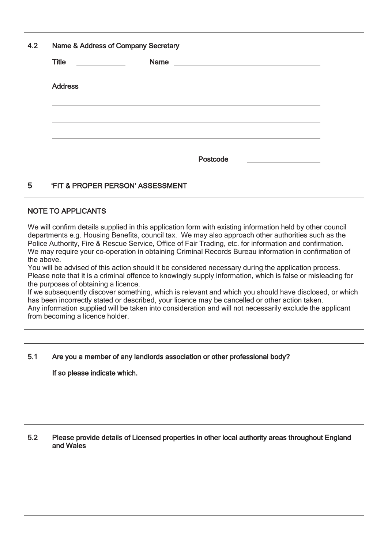| 4.2 | Name & Address of Company Secretary |      |          |                                               |  |
|-----|-------------------------------------|------|----------|-----------------------------------------------|--|
|     | Title _____________                 | Name |          | <u> 1989 - Andrea Andrew Maria (h. 1989).</u> |  |
|     | <b>Address</b>                      |      |          |                                               |  |
|     |                                     |      |          |                                               |  |
|     |                                     |      |          |                                               |  |
|     |                                     |      | Postcode |                                               |  |

#### 'FIT & PROPER PERSON' ASSESSMENT 5

# NOTE TO APPLICANTS

 departments e.g. Housing Benefits, council tax. We may also approach other authorities such as the Police Authority, Fire & Rescue Service, Office of Fair Trading, etc. for information and confirmation. the above. We will confirm details supplied in this application form with existing information held by other council We may require your co-operation in obtaining Criminal Records Bureau information in confirmation of

 You will be advised of this action should it be considered necessary during the application process. Please note that it is a criminal offence to knowingly supply information, which is false or misleading for the purposes of obtaining a licence.

 If we subsequently discover something, which is relevant and which you should have disclosed, or which has been incorrectly stated or described, your licence may be cancelled or other action taken. Any information supplied will be taken into consideration and will not necessarily exclude the applicant from becoming a licence holder.

## 5.1 Are you a member of any landlords association or other professional body?

If so please indicate which.

### 5.2 Please provide details of Licensed properties in other local authority areas throughout England and Wales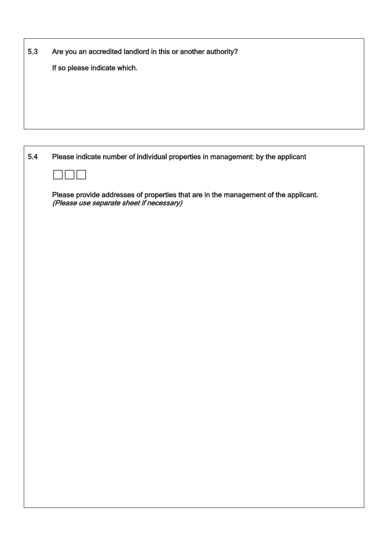| 5.3 | Are you an accredited landlord in this or another authority? |
|-----|--------------------------------------------------------------|
|     | If so please indicate which.                                 |
|     |                                                              |
|     |                                                              |
|     |                                                              |

 $\mathsf{L}$ 

| 5.4 | Please indicate number of individual properties in management: by the applicant                                                 |
|-----|---------------------------------------------------------------------------------------------------------------------------------|
|     | $\sim$                                                                                                                          |
|     | Please provide addresses of properties that are in the management of the applicant.<br>(Please use separate sheet if necessary) |
|     |                                                                                                                                 |
|     |                                                                                                                                 |
|     |                                                                                                                                 |
|     |                                                                                                                                 |
|     |                                                                                                                                 |
|     |                                                                                                                                 |
|     |                                                                                                                                 |
|     |                                                                                                                                 |
|     |                                                                                                                                 |
|     |                                                                                                                                 |
|     |                                                                                                                                 |
|     |                                                                                                                                 |
|     |                                                                                                                                 |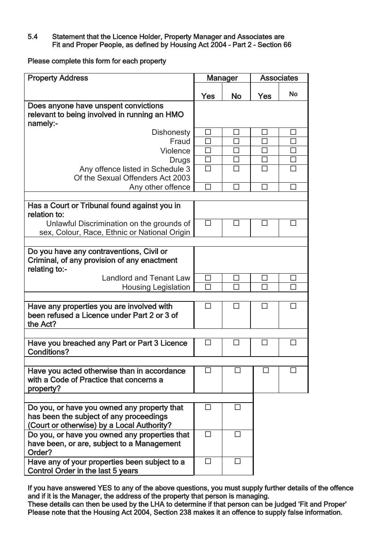## 5.4 Statement that the Licence Holder, Property Manager and Associates are Fit and Proper People, as defined by Housing Act 2004 – Part 2 – Section 66

Please complete this form for each property

| <b>Property Address</b>                                                                                                              |        | <b>Manager</b> |              | <b>Associates</b> |
|--------------------------------------------------------------------------------------------------------------------------------------|--------|----------------|--------------|-------------------|
|                                                                                                                                      | Yes    | <b>No</b>      | Yes          | <b>No</b>         |
| Does anyone have unspent convictions<br>relevant to being involved in running an HMO<br>namely:-                                     |        |                |              |                   |
| <b>Dishonesty</b>                                                                                                                    | ப      | ⊔              | $\mathsf{L}$ |                   |
| Fraud                                                                                                                                | П      | П              | П            | П                 |
| Violence                                                                                                                             | П      | П              | П            | П                 |
| <b>Drugs</b>                                                                                                                         | $\Box$ | $\Box$         | П            | □                 |
| Any offence listed in Schedule 3                                                                                                     | П      | П              | П            | П                 |
| Of the Sexual Offenders Act 2003                                                                                                     |        |                |              |                   |
| Any other offence                                                                                                                    | П      | П              |              | П                 |
|                                                                                                                                      |        |                |              |                   |
| Has a Court or Tribunal found against you in<br>relation to:                                                                         |        |                |              |                   |
| Unlawful Discrimination on the grounds of<br>sex, Colour, Race, Ethnic or National Origin                                            | $\Box$ | П              | П            | П                 |
|                                                                                                                                      |        |                |              |                   |
| Do you have any contraventions, Civil or<br>Criminal, of any provision of any enactment<br>relating to:-                             |        |                |              |                   |
| <b>Landlord and Tenant Law</b>                                                                                                       | $\Box$ | п              | П            | Щ                 |
| <b>Housing Legislation</b>                                                                                                           | П      | П              | П            | ГΙ                |
|                                                                                                                                      |        |                |              |                   |
| Have any properties you are involved with<br>been refused a Licence under Part 2 or 3 of<br>the Act?                                 | П      | П              | П            | П                 |
|                                                                                                                                      |        |                |              |                   |
| Have you breached any Part or Part 3 Licence<br><b>Conditions?</b>                                                                   | □      | ⊔              | □            | □                 |
|                                                                                                                                      |        |                |              |                   |
| Have you acted otherwise than in accordance<br>with a Code of Practice that concerns a<br>property?                                  | П      | П              | ΙI           |                   |
|                                                                                                                                      |        |                |              |                   |
| Do you, or have you owned any property that<br>has been the subject of any proceedings<br>(Court or otherwise) by a Local Authority? |        |                |              |                   |
| Do you, or have you owned any properties that<br>have been, or are, subject to a Management<br>Order?                                | П      |                |              |                   |
| Have any of your properties been subject to a<br>Control Order in the last 5 years                                                   | П      | H              |              |                   |

 If you have answered YES to any of the above questions, you must supply further details of the offence and if it is the Manager, the address of the property that person is managing.

 These details can then be used by the LHA to determine if that person can be judged 'Fit and Proper' Please note that the Housing Act 2004, Section 238 makes it an offence to supply false information.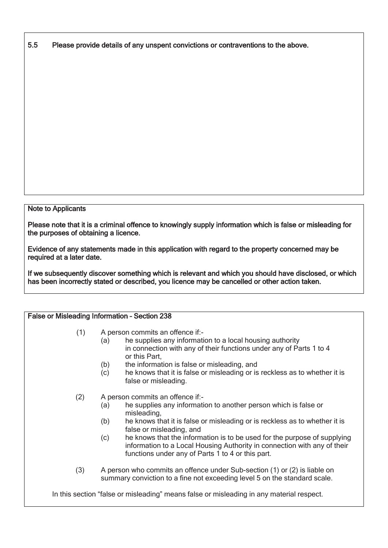5.5 Please provide details of any unspent convictions or contraventions to the above.

## Note to Applicants

 Please note that it is a criminal offence to knowingly supply information which is false or misleading for the purposes of obtaining a licence.

 Evidence of any statements made in this application with regard to the property concerned may be required at a later date.

 If we subsequently discover something which is relevant and which you should have disclosed, or which has been incorrectly stated or described, you licence may be cancelled or other action taken.

| False or Misleading Information - Section 238 |                                                                                                                                                                                                                                                                                                                                                                                                                                                                |  |  |
|-----------------------------------------------|----------------------------------------------------------------------------------------------------------------------------------------------------------------------------------------------------------------------------------------------------------------------------------------------------------------------------------------------------------------------------------------------------------------------------------------------------------------|--|--|
| (1)                                           | A person commits an offence if:-<br>he supplies any information to a local housing authority<br>(a)<br>in connection with any of their functions under any of Parts 1 to 4<br>or this Part,                                                                                                                                                                                                                                                                    |  |  |
|                                               | the information is false or misleading, and<br>(b)<br>he knows that it is false or misleading or is reckless as to whether it is<br>(c)<br>false or misleading.                                                                                                                                                                                                                                                                                                |  |  |
| (2)                                           | A person commits an offence if:-<br>he supplies any information to another person which is false or<br>(a)<br>misleading,<br>he knows that it is false or misleading or is reckless as to whether it is<br>(b)<br>false or misleading, and<br>he knows that the information is to be used for the purpose of supplying<br>(c)<br>information to a Local Housing Authority in connection with any of their<br>functions under any of Parts 1 to 4 or this part. |  |  |
| (3)                                           | A person who commits an offence under Sub-section (1) or (2) is liable on<br>summary conviction to a fine not exceeding level 5 on the standard scale.                                                                                                                                                                                                                                                                                                         |  |  |
|                                               | In this section "false or misleading" means false or misleading in any material respect.                                                                                                                                                                                                                                                                                                                                                                       |  |  |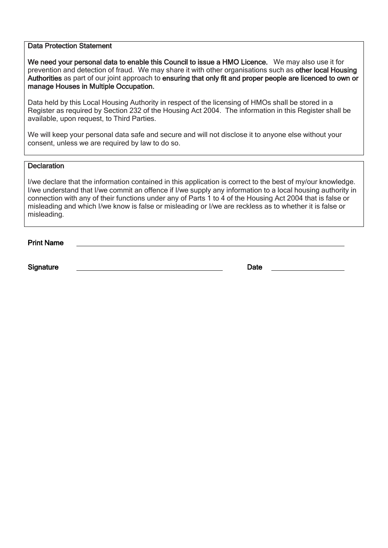#### Data Protection Statement

We need your personal data to enable this Council to issue a HMO Licence. We may also use it for prevention and detection of fraud. We may share it with other organisations such as other local Housing Authorities as part of our joint approach to ensuring that only fit and proper people are licenced to own or manage Houses in Multiple Occupation.

 Register as required by Section 232 of the Housing Act 2004. The information in this Register shall be available, upon request, to Third Parties. Data held by this Local Housing Authority in respect of the licensing of HMOs shall be stored in a

 We will keep your personal data safe and secure and will not disclose it to anyone else without your consent, unless we are required by law to do so.

## **Declaration**

 I/we declare that the information contained in this application is correct to the best of my/our knowledge. I/we understand that I/we commit an offence if I/we supply any information to a local housing authority in connection with any of their functions under any of Parts 1 to 4 of the Housing Act 2004 that is false or misleading and which I/we know is false or misleading or I/we are reckless as to whether it is false or misleading.

Print Name

Signature Date Date Contract and the Date Date Date Date Date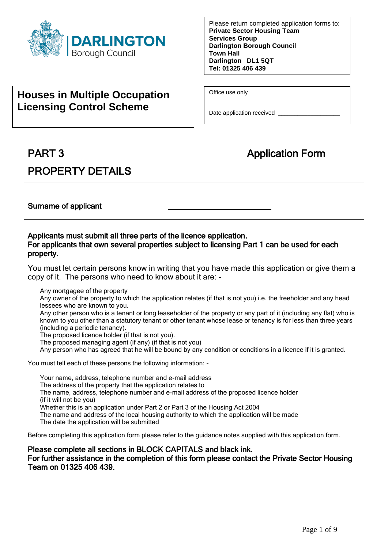

# **Houses in Multiple Occupation Licensing Control Scheme**

Office use only

Date application received \_\_\_\_\_\_\_\_\_\_\_\_\_\_\_\_\_\_\_\_\_\_\_\_

# **PART 3**

# PROPERTY DETAILS

# **Application Form**

Surname of applicant

## Applicants must submit all three parts of the licence application. For applicants that own several properties subject to licensing Part 1 can be used for each property.

 You must let certain persons know in writing that you have made this application or give them a copy of it. The persons who need to know about it are: -

Any mortgagee of the property

Any owner of the property to which the application relates (if that is not you) i.e. the freeholder and any head lessees who are known to you.

Any other person who is a tenant or long leaseholder of the property or any part of it (including any flat) who is known to you other than a statutory tenant or other tenant whose lease or tenancy is for less than three years (including a periodic tenancy).

The proposed licence holder (if that is not you).

The proposed managing agent (if any) (if that is not you)

Any person who has agreed that he will be bound by any condition or conditions in a licence if it is granted.

You must tell each of these persons the following information: -

Your name, address, telephone number and e-mail address The address of the property that the application relates to The name, address, telephone number and e-mail address of the proposed licence holder (if it will not be you) Whether this is an application under Part 2 or Part 3 of the Housing Act 2004 The name and address of the local housing authority to which the application will be made The date the application will be submitted

Before completing this application form please refer to the guidance notes supplied with this application form.

## Please complete all sections in BLOCK CAPITALS and black ink. For further assistance in the completion of this form please contact the Private Sector Housing Team on 01325 406 439.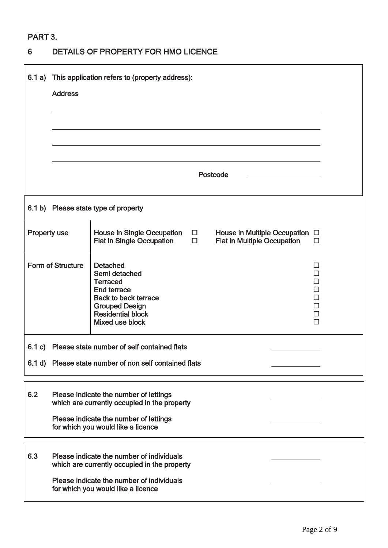# PART 3.

# 6 DETAILS OF PROPERTY FOR HMO LICENCE

|                     | 6.1 a) This application refers to (property address):<br><b>Address</b><br>Postcode |                                                                                                                                                                                         |                                                                                     |  |  |  |  |  |
|---------------------|-------------------------------------------------------------------------------------|-----------------------------------------------------------------------------------------------------------------------------------------------------------------------------------------|-------------------------------------------------------------------------------------|--|--|--|--|--|
|                     |                                                                                     | 6.1 b) Please state type of property                                                                                                                                                    |                                                                                     |  |  |  |  |  |
| <b>Property use</b> |                                                                                     | <b>House in Single Occupation</b><br>$\Box$<br><b>Flat in Single Occupation</b><br>$\Box$                                                                                               | House in Multiple Occupation $\Box$<br><b>Flat in Multiple Occupation</b><br>$\Box$ |  |  |  |  |  |
|                     | <b>Form of Structure</b>                                                            | <b>Detached</b><br>Semi detached<br><b>Terraced</b><br><b>End terrace</b><br><b>Back to back terrace</b><br><b>Grouped Design</b><br><b>Residential block</b><br><b>Mixed use block</b> | ΙI<br>П<br>П<br>$\Box$<br>$\Box$<br>$\Box$                                          |  |  |  |  |  |
|                     |                                                                                     | 6.1 c) Please state number of self contained flats<br>6.1 d) Please state number of non self contained flats                                                                            |                                                                                     |  |  |  |  |  |
| 6.2                 |                                                                                     | Please indicate the number of lettings<br>which are currently occupied in the property<br>Please indicate the number of lettings<br>for which you would like a licence                  |                                                                                     |  |  |  |  |  |
| 6.3                 |                                                                                     | Please indicate the number of individuals<br>which are currently occupied in the property<br>Please indicate the number of individuals<br>for which you would like a licence            |                                                                                     |  |  |  |  |  |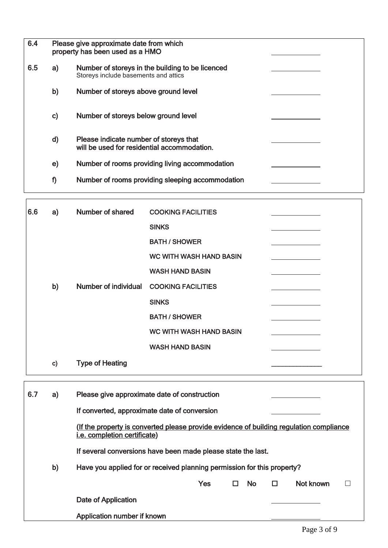| 6.4 |               | Please give approximate date from which<br>property has been used as a HMO               |
|-----|---------------|------------------------------------------------------------------------------------------|
| 6.5 | a)            | Number of storeys in the building to be licenced<br>Storeys include basements and attics |
|     | b)            | Number of storeys above ground level                                                     |
|     | $\mathbf{c}$  | Number of storeys below ground level                                                     |
|     | $\mathsf{d}$  | Please indicate number of storeys that<br>will be used for residential accommodation.    |
|     | $\mathbf{e})$ | Number of rooms providing living accommodation                                           |
|     | f)            | Number of rooms providing sleeping accommodation                                         |
|     |               |                                                                                          |

| 6.6 | a)           | Number of shared             | <b>COOKING FACILITIES</b>                                                               |                     |
|-----|--------------|------------------------------|-----------------------------------------------------------------------------------------|---------------------|
|     |              |                              | <b>SINKS</b>                                                                            |                     |
|     |              |                              | <b>BATH / SHOWER</b>                                                                    |                     |
|     |              |                              | <b>WC WITH WASH HAND BASIN</b>                                                          |                     |
|     |              |                              | <b>WASH HAND BASIN</b>                                                                  |                     |
|     | b)           | <b>Number of individual</b>  | <b>COOKING FACILITIES</b>                                                               |                     |
|     |              |                              | <b>SINKS</b>                                                                            |                     |
|     |              |                              | <b>BATH / SHOWER</b>                                                                    |                     |
|     |              |                              | <b>WC WITH WASH HAND BASIN</b>                                                          |                     |
|     |              |                              | <b>WASH HAND BASIN</b>                                                                  |                     |
|     | $\mathbf{c}$ | <b>Type of Heating</b>       |                                                                                         |                     |
| 6.7 | a)           |                              | Please give approximate date of construction                                            |                     |
|     |              |                              | If converted, approximate date of conversion                                            |                     |
|     |              | i.e. completion certificate) | (If the property is converted please provide evidence of building regulation compliance |                     |
|     |              |                              | If several conversions have been made please state the last.                            |                     |
|     | b)           |                              | Have you applied for or received planning permission for this property?                 |                     |
|     |              |                              | <b>No</b><br>Yes<br>$\Box$                                                              | Not known<br>п<br>П |
|     |              | Date of Application          |                                                                                         |                     |
|     |              | Application number if known  |                                                                                         |                     |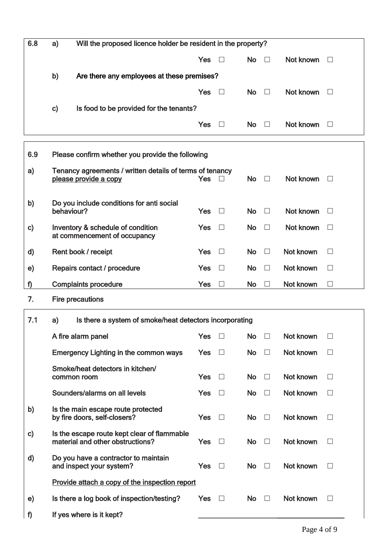| 6.8           | Will the proposed licence holder be resident in the property?<br>a) |                                                                                   |            |                          |           |              |           |                   |
|---------------|---------------------------------------------------------------------|-----------------------------------------------------------------------------------|------------|--------------------------|-----------|--------------|-----------|-------------------|
|               |                                                                     |                                                                                   | Yes        |                          | <b>No</b> | $\perp$      | Not known |                   |
|               | b)                                                                  | Are there any employees at these premises?                                        |            |                          |           |              |           |                   |
|               |                                                                     |                                                                                   | <b>Yes</b> | $\Box$                   | <b>No</b> | $\Box$       | Not known |                   |
|               | C)                                                                  | Is food to be provided for the tenants?                                           |            |                          |           |              |           |                   |
|               |                                                                     |                                                                                   | Yes        | $\perp$                  | <b>No</b> | $\Box$       | Not known | $\vert \ \ \vert$ |
|               |                                                                     |                                                                                   |            |                          |           |              |           |                   |
| 6.9           |                                                                     | Please confirm whether you provide the following                                  |            |                          |           |              |           |                   |
| a)            |                                                                     | Tenancy agreements / written details of terms of tenancy<br>please provide a copy | <b>Yes</b> | П                        | <b>No</b> | $\Box$       | Not known | $\vert \ \ \vert$ |
| b)            | behaviour?                                                          | Do you include conditions for anti social                                         | Yes        | $\Box$                   | <b>No</b> | $\perp$      | Not known |                   |
| C)            |                                                                     | Inventory & schedule of condition<br>at commencement of occupancy                 | Yes        |                          | <b>No</b> | $\Box$       | Not known |                   |
| d)            |                                                                     | Rent book / receipt                                                               | Yes        | $\Box$                   | <b>No</b> | $\Box$       | Not known | $\perp$           |
| $\mathbf{e})$ |                                                                     | Repairs contact / procedure                                                       | <b>Yes</b> |                          | <b>No</b> | ш            | Not known |                   |
| f)            |                                                                     | <b>Complaints procedure</b>                                                       | Yes        | $\overline{\phantom{a}}$ | <b>No</b> | $\mathsf{L}$ | Not known | $\vert \ \ \vert$ |
| 7.            | <b>Fire precautions</b>                                             |                                                                                   |            |                          |           |              |           |                   |
| 7.1           | a)                                                                  | Is there a system of smoke/heat detectors incorporating                           |            |                          |           |              |           |                   |
|               |                                                                     | A fire alarm panel                                                                | Yes        |                          | <b>No</b> |              | Not known |                   |
|               |                                                                     | <b>Emergency Lighting in the common ways</b>                                      | Yes        | П                        | <b>No</b> | $\Box$       | Not known | $\Box$            |
|               | common room                                                         | Smoke/heat detectors in kitchen/                                                  | <b>Yes</b> | $\Box$                   | <b>No</b> | $\Box$       | Not known | $\Box$            |
|               |                                                                     | Sounders/alarms on all levels                                                     | Yes        | $\Box$                   | <b>No</b> | $\Box$       | Not known | $\Box$            |
| b)            |                                                                     | Is the main escape route protected<br>by fire doors, self-closers?                | <b>Yes</b> | $\Box$                   | <b>No</b> | $\Box$       | Not known | $\Box$            |
| $\mathbf{c}$  |                                                                     | Is the escape route kept clear of flammable<br>material and other obstructions?   | <b>Yes</b> | $\Box$                   | <b>No</b> | $\perp$      | Not known | $\vert \ \ \vert$ |
| d)            |                                                                     | Do you have a contractor to maintain<br>and inspect your system?                  | Yes        | $\Box$                   | <b>No</b> | $\Box$       | Not known | $\Box$            |
|               |                                                                     | Provide attach a copy of the inspection report                                    |            |                          |           |              |           |                   |
| e)            |                                                                     | Is there a log book of inspection/testing?                                        | Yes        | $\perp$                  | <b>No</b> | $\Box$       | Not known | $\Box$            |
| f)            |                                                                     | If yes where is it kept?                                                          |            |                          |           |              |           |                   |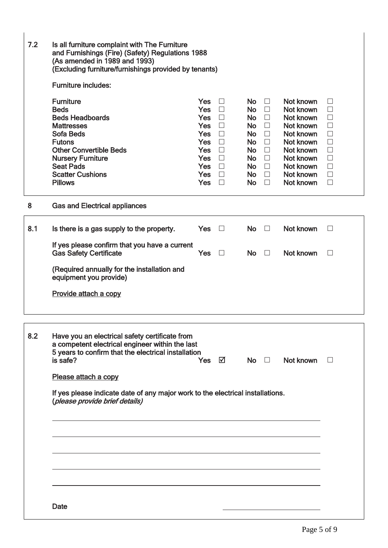| 7.2 | Is all furniture complaint with The Furniture<br>and Furnishings (Fire) (Safety) Regulations 1988<br>(As amended in 1989 and 1993)<br>(Excluding furniture/furnishings provided by tenants)                                                       |                                                                                                                               |                                                                    |                                                                                                                              |                                                                                                                    |                                                                                                                                             |                                                                                                                       |  |  |  |
|-----|---------------------------------------------------------------------------------------------------------------------------------------------------------------------------------------------------------------------------------------------------|-------------------------------------------------------------------------------------------------------------------------------|--------------------------------------------------------------------|------------------------------------------------------------------------------------------------------------------------------|--------------------------------------------------------------------------------------------------------------------|---------------------------------------------------------------------------------------------------------------------------------------------|-----------------------------------------------------------------------------------------------------------------------|--|--|--|
|     | <b>Furniture includes:</b>                                                                                                                                                                                                                        |                                                                                                                               |                                                                    |                                                                                                                              |                                                                                                                    |                                                                                                                                             |                                                                                                                       |  |  |  |
|     | <b>Furniture</b><br><b>Beds</b><br><b>Beds Headboards</b><br><b>Mattresses</b><br><b>Sofa Beds</b><br><b>Futons</b><br><b>Other Convertible Beds</b><br><b>Nursery Furniture</b><br><b>Seat Pads</b><br><b>Scatter Cushions</b><br><b>Pillows</b> | <b>Yes</b><br><b>Yes</b><br>Yes $\square$<br>Yes<br>Yes<br>Yes<br>Yes<br>Yes $\Box$<br>Yes $\Box$<br>Yes $\Box$<br><b>Yes</b> | $\Box$<br>$\Box$<br>$\Box$<br>$\Box$<br>$\Box$<br>$\Box$<br>$\Box$ | <b>No</b><br><b>No</b><br>No.<br>No.<br><b>No</b><br><b>No</b><br><b>No</b><br><b>No</b><br>No $\square$<br>No.<br><b>No</b> | $\Box$<br>$\Box$<br>$\Box$<br>$\Box$<br>$\Box$<br>$\Box$<br>$\Box$<br>$\Box$<br>$\overline{\phantom{a}}$<br>$\Box$ | Not known<br>Not known<br>Not known<br>Not known<br>Not known<br>Not known<br>Not known<br>Not known<br>Not known<br>Not known<br>Not known | $\vert \ \ \vert$<br>$\Box$<br>$\Box$<br>$\Box$<br>$\Box$<br>$\Box$<br>$\Box$<br>$\Box$<br>$\Box$<br>$\Box$<br>$\Box$ |  |  |  |
| 8   | <b>Gas and Electrical appliances</b>                                                                                                                                                                                                              |                                                                                                                               |                                                                    |                                                                                                                              |                                                                                                                    |                                                                                                                                             |                                                                                                                       |  |  |  |
| 8.1 | Is there is a gas supply to the property.                                                                                                                                                                                                         | <b>Yes</b>                                                                                                                    | $\Box$                                                             | <b>No</b>                                                                                                                    | $\Box$                                                                                                             | Not known                                                                                                                                   | $\Box$                                                                                                                |  |  |  |
|     | If yes please confirm that you have a current<br><b>Gas Safety Certificate</b>                                                                                                                                                                    | <b>Yes</b>                                                                                                                    | $\Box$                                                             | <b>No</b>                                                                                                                    | $\Box$                                                                                                             | Not known                                                                                                                                   | $\Box$                                                                                                                |  |  |  |
|     | (Required annually for the installation and<br>equipment you provide)                                                                                                                                                                             |                                                                                                                               |                                                                    |                                                                                                                              |                                                                                                                    |                                                                                                                                             |                                                                                                                       |  |  |  |
|     | Provide attach a copy                                                                                                                                                                                                                             |                                                                                                                               |                                                                    |                                                                                                                              |                                                                                                                    |                                                                                                                                             |                                                                                                                       |  |  |  |
| 8.2 | Have you an electrical safety certificate from<br>a competent electrical engineer within the last<br>5 years to confirm that the electrical installation<br>is safe?                                                                              | Yes                                                                                                                           | ☑                                                                  |                                                                                                                              |                                                                                                                    | $No \quad \Box \quad Not known$                                                                                                             | $\Box$                                                                                                                |  |  |  |
|     | Please attach a copy                                                                                                                                                                                                                              |                                                                                                                               |                                                                    |                                                                                                                              |                                                                                                                    |                                                                                                                                             |                                                                                                                       |  |  |  |
|     | If yes please indicate date of any major work to the electrical installations.<br>(please provide brief details)                                                                                                                                  |                                                                                                                               |                                                                    |                                                                                                                              |                                                                                                                    |                                                                                                                                             |                                                                                                                       |  |  |  |
|     |                                                                                                                                                                                                                                                   |                                                                                                                               |                                                                    |                                                                                                                              |                                                                                                                    |                                                                                                                                             |                                                                                                                       |  |  |  |
|     |                                                                                                                                                                                                                                                   |                                                                                                                               |                                                                    |                                                                                                                              |                                                                                                                    |                                                                                                                                             |                                                                                                                       |  |  |  |
|     |                                                                                                                                                                                                                                                   |                                                                                                                               |                                                                    |                                                                                                                              |                                                                                                                    |                                                                                                                                             |                                                                                                                       |  |  |  |
|     | Date                                                                                                                                                                                                                                              |                                                                                                                               |                                                                    |                                                                                                                              |                                                                                                                    |                                                                                                                                             |                                                                                                                       |  |  |  |
|     |                                                                                                                                                                                                                                                   |                                                                                                                               |                                                                    |                                                                                                                              |                                                                                                                    |                                                                                                                                             |                                                                                                                       |  |  |  |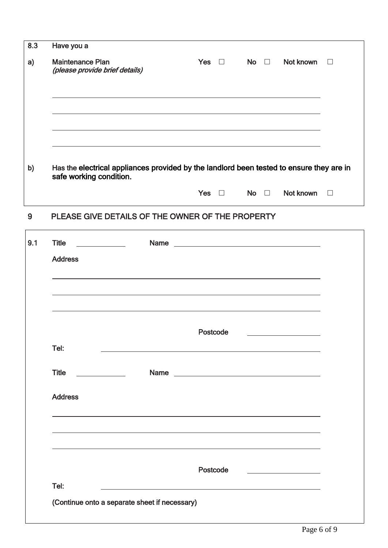| Have you a                                                                                                                                                                                                 |            |                            |                                                                                                                                                                                                                                      |        |
|------------------------------------------------------------------------------------------------------------------------------------------------------------------------------------------------------------|------------|----------------------------|--------------------------------------------------------------------------------------------------------------------------------------------------------------------------------------------------------------------------------------|--------|
| <b>Maintenance Plan</b><br>(please provide brief details)                                                                                                                                                  | Yes $\Box$ | No $\square$               | Not known                                                                                                                                                                                                                            | $\Box$ |
| <u> 1989 - Andrea Santana, amerikana amerikana amerikana amerikana amerikana amerikana amerikana amerikana amerika</u><br>,我们也不会有什么。""我们的人,我们也不会有什么?""我们的人,我们也不会有什么?""我们的人,我们也不会有什么?""我们的人,我们也不会有什么?""我们的人 |            |                            |                                                                                                                                                                                                                                      |        |
| Has the electrical appliances provided by the landlord been tested to ensure they are in                                                                                                                   |            |                            |                                                                                                                                                                                                                                      |        |
| safe working condition.                                                                                                                                                                                    |            |                            |                                                                                                                                                                                                                                      |        |
|                                                                                                                                                                                                            |            | Yes $\square$ No $\square$ | Not known                                                                                                                                                                                                                            | $\Box$ |
| PLEASE GIVE DETAILS OF THE OWNER OF THE PROPERTY                                                                                                                                                           |            |                            |                                                                                                                                                                                                                                      |        |
| <b>Title</b><br><u> 1990 - John Harry Harry Harry Harry Harry Harry Harry Harry Harry Harry Harry Harry Harry Harry Harry Harry</u>                                                                        |            |                            | Name <u>and the contract of the contract of the contract of the contract of the contract of the contract of the contract of the contract of the contract of the contract of the contract of the contract of the contract of the </u> |        |
| <b>Address</b>                                                                                                                                                                                             |            |                            |                                                                                                                                                                                                                                      |        |
| and the control of the control of the control of the control of the control of the control of the control of the                                                                                           |            |                            |                                                                                                                                                                                                                                      |        |
|                                                                                                                                                                                                            |            |                            |                                                                                                                                                                                                                                      |        |
|                                                                                                                                                                                                            | Postcode   |                            |                                                                                                                                                                                                                                      |        |
| Tel:                                                                                                                                                                                                       |            |                            |                                                                                                                                                                                                                                      |        |
| <b>Title</b><br><b>Name</b><br><u> 1989 - Johann Barnett, f</u>                                                                                                                                            |            |                            | <u> 1980 - Johann Barn, fransk politik (d. 1980)</u>                                                                                                                                                                                 |        |
| <b>Address</b>                                                                                                                                                                                             |            |                            |                                                                                                                                                                                                                                      |        |
| and the control of the control of the control of the control of the control of the control of the control of the                                                                                           |            |                            |                                                                                                                                                                                                                                      |        |
|                                                                                                                                                                                                            |            |                            |                                                                                                                                                                                                                                      |        |
|                                                                                                                                                                                                            | Postcode   |                            |                                                                                                                                                                                                                                      |        |
| Tel:                                                                                                                                                                                                       |            |                            |                                                                                                                                                                                                                                      |        |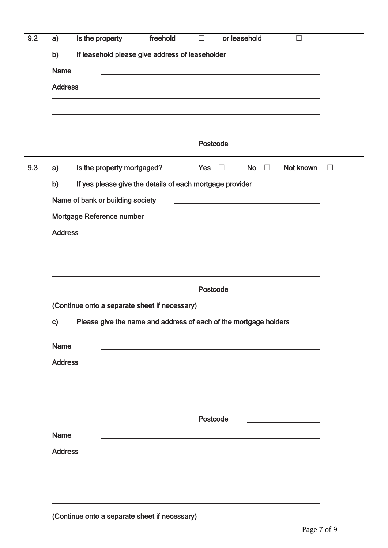| a)          |                                                                  |                                                                                                                                                                                                                               |            |                          |                     |                                                                                                                                                                                                                               |
|-------------|------------------------------------------------------------------|-------------------------------------------------------------------------------------------------------------------------------------------------------------------------------------------------------------------------------|------------|--------------------------|---------------------|-------------------------------------------------------------------------------------------------------------------------------------------------------------------------------------------------------------------------------|
| b)          | If leasehold please give address of leaseholder                  |                                                                                                                                                                                                                               |            |                          |                     |                                                                                                                                                                                                                               |
| <b>Name</b> |                                                                  | the control of the control of the control of the control of the control of the control of the control of the control of the control of the control of the control of the control of the control of the control of the control |            |                          |                     |                                                                                                                                                                                                                               |
|             | <b>Address</b>                                                   |                                                                                                                                                                                                                               |            |                          |                     |                                                                                                                                                                                                                               |
|             |                                                                  |                                                                                                                                                                                                                               |            |                          |                     |                                                                                                                                                                                                                               |
|             |                                                                  |                                                                                                                                                                                                                               |            |                          |                     |                                                                                                                                                                                                                               |
|             |                                                                  |                                                                                                                                                                                                                               | Postcode   |                          |                     |                                                                                                                                                                                                                               |
|             |                                                                  |                                                                                                                                                                                                                               |            |                          |                     | <u> 1989 - Johann Barn, mars an t-Amerikaansk kommunister (</u>                                                                                                                                                               |
| a)          | Is the property mortgaged?                                       |                                                                                                                                                                                                                               | <b>Yes</b> | $\overline{\phantom{a}}$ | <b>No</b><br>$\Box$ | Not known                                                                                                                                                                                                                     |
| b)          | If yes please give the details of each mortgage provider         |                                                                                                                                                                                                                               |            |                          |                     |                                                                                                                                                                                                                               |
|             | Name of bank or building society                                 |                                                                                                                                                                                                                               |            |                          |                     |                                                                                                                                                                                                                               |
|             | Mortgage Reference number                                        |                                                                                                                                                                                                                               |            |                          |                     | the control of the control of the control of the control of the control of the control of the control of the control of the control of the control of the control of the control of the control of the control of the control |
|             | <b>Address</b>                                                   |                                                                                                                                                                                                                               |            |                          |                     |                                                                                                                                                                                                                               |
|             |                                                                  |                                                                                                                                                                                                                               |            |                          |                     |                                                                                                                                                                                                                               |
|             |                                                                  |                                                                                                                                                                                                                               |            |                          |                     |                                                                                                                                                                                                                               |
|             |                                                                  | and the control of the control of the control of the control of the control of the control of the control of the                                                                                                              |            |                          |                     |                                                                                                                                                                                                                               |
|             |                                                                  |                                                                                                                                                                                                                               |            |                          |                     |                                                                                                                                                                                                                               |
|             |                                                                  |                                                                                                                                                                                                                               | Postcode   |                          |                     |                                                                                                                                                                                                                               |
|             | (Continue onto a separate sheet if necessary)                    |                                                                                                                                                                                                                               |            |                          |                     |                                                                                                                                                                                                                               |
| C)          | Please give the name and address of each of the mortgage holders |                                                                                                                                                                                                                               |            |                          |                     |                                                                                                                                                                                                                               |
|             |                                                                  |                                                                                                                                                                                                                               |            |                          |                     |                                                                                                                                                                                                                               |
| <b>Name</b> |                                                                  |                                                                                                                                                                                                                               |            |                          |                     |                                                                                                                                                                                                                               |
|             | <b>Address</b>                                                   |                                                                                                                                                                                                                               |            |                          |                     |                                                                                                                                                                                                                               |
|             |                                                                  |                                                                                                                                                                                                                               |            |                          |                     |                                                                                                                                                                                                                               |
|             |                                                                  |                                                                                                                                                                                                                               |            |                          |                     |                                                                                                                                                                                                                               |
|             |                                                                  |                                                                                                                                                                                                                               |            |                          |                     |                                                                                                                                                                                                                               |
|             |                                                                  |                                                                                                                                                                                                                               | Postcode   |                          |                     |                                                                                                                                                                                                                               |
| <b>Name</b> |                                                                  |                                                                                                                                                                                                                               |            |                          |                     |                                                                                                                                                                                                                               |
|             | <b>Address</b>                                                   |                                                                                                                                                                                                                               |            |                          |                     |                                                                                                                                                                                                                               |
|             |                                                                  |                                                                                                                                                                                                                               |            |                          |                     |                                                                                                                                                                                                                               |
|             |                                                                  |                                                                                                                                                                                                                               |            |                          |                     |                                                                                                                                                                                                                               |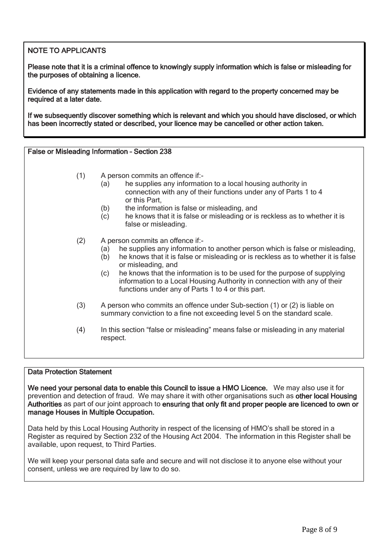# NOTE TO APPLICANTS

 Please note that it is a criminal offence to knowingly supply information which is false or misleading for the purposes of obtaining a licence.

 Evidence of any statements made in this application with regard to the property concerned may be required at a later date.

 If we subsequently discover something which is relevant and which you should have disclosed, or which has been incorrectly stated or described, your licence may be cancelled or other action taken.

False or Misleading Information – Section 238

- (1) A person commits an offence if:-
	- (a) he supplies any information to a local housing authority in connection with any of their functions under any of Parts 1 to 4 or this Part,
	- (b) the information is false or misleading, and
	- (c) he knows that it is false or misleading or is reckless as to whether it is false or misleading.
- (2) A person commits an offence if:-
	- (a) he supplies any information to another person which is false or misleading,
	- (b) he knows that it is false or misleading or is reckless as to whether it is false or misleading, and
	- (c) he knows that the information is to be used for the purpose of supplying information to a Local Housing Authority in connection with any of their functions under any of Parts 1 to 4 or this part.
- (3) A person who commits an offence under Sub-section (1) or (2) is liable on summary conviction to a fine not exceeding level 5 on the standard scale.
- (4) In this section "false or misleading" means false or misleading in any material respect.

### Data Protection Statement

We need your personal data to enable this Council to issue a HMO Licence. We may also use it for prevention and detection of fraud. We may share it with other organisations such as other local Housing Authorities as part of our joint approach to ensuring that only fit and proper people are licenced to own or manage Houses in Multiple Occupation.

 Register as required by Section 232 of the Housing Act 2004. The information in this Register shall be available, upon request, to Third Parties. Data held by this Local Housing Authority in respect of the licensing of HMO's shall be stored in a

 We will keep your personal data safe and secure and will not disclose it to anyone else without your consent, unless we are required by law to do so.